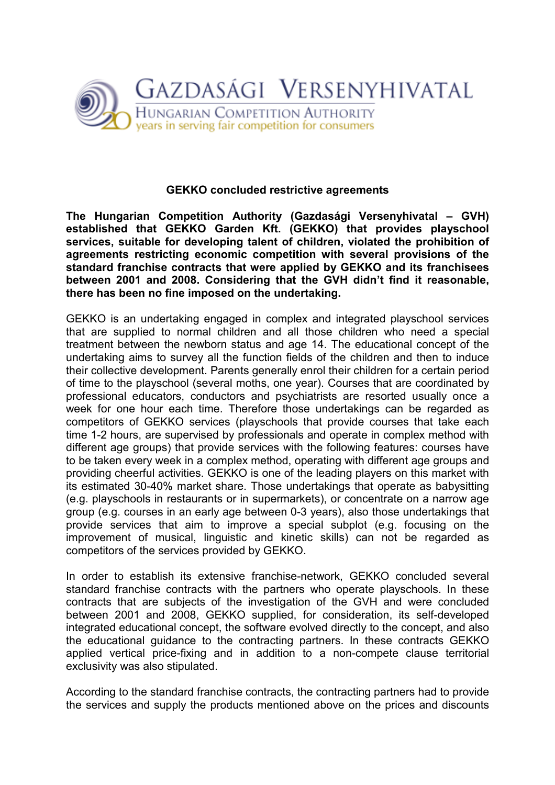

## GEKKO concluded restrictive agreements

The Hungarian Competition Authority (Gazdasági Versenyhivatal – GVH) established that GEKKO Garden Kft. (GEKKO) that provides playschool services, suitable for developing talent of children, violated the prohibition of agreements restricting economic competition with several provisions of the standard franchise contracts that were applied by GEKKO and its franchisees between 2001 and 2008. Considering that the GVH didn't find it reasonable, there has been no fine imposed on the undertaking.

GEKKO is an undertaking engaged in complex and integrated playschool services that are supplied to normal children and all those children who need a special treatment between the newborn status and age 14. The educational concept of the undertaking aims to survey all the function fields of the children and then to induce their collective development. Parents generally enrol their children for a certain period of time to the playschool (several moths, one year). Courses that are coordinated by professional educators, conductors and psychiatrists are resorted usually once a week for one hour each time. Therefore those undertakings can be regarded as competitors of GEKKO services (playschools that provide courses that take each time 1-2 hours, are supervised by professionals and operate in complex method with different age groups) that provide services with the following features: courses have to be taken every week in a complex method, operating with different age groups and providing cheerful activities. GEKKO is one of the leading players on this market with its estimated 30-40% market share. Those undertakings that operate as babysitting (e.g. playschools in restaurants or in supermarkets), or concentrate on a narrow age group (e.g. courses in an early age between 0-3 years), also those undertakings that provide services that aim to improve a special subplot (e.g. focusing on the improvement of musical, linguistic and kinetic skills) can not be regarded as competitors of the services provided by GEKKO.

In order to establish its extensive franchise-network, GEKKO concluded several standard franchise contracts with the partners who operate playschools. In these contracts that are subjects of the investigation of the GVH and were concluded between 2001 and 2008, GEKKO supplied, for consideration, its self-developed integrated educational concept, the software evolved directly to the concept, and also the educational guidance to the contracting partners. In these contracts GEKKO applied vertical price-fixing and in addition to a non-compete clause territorial exclusivity was also stipulated.

According to the standard franchise contracts, the contracting partners had to provide the services and supply the products mentioned above on the prices and discounts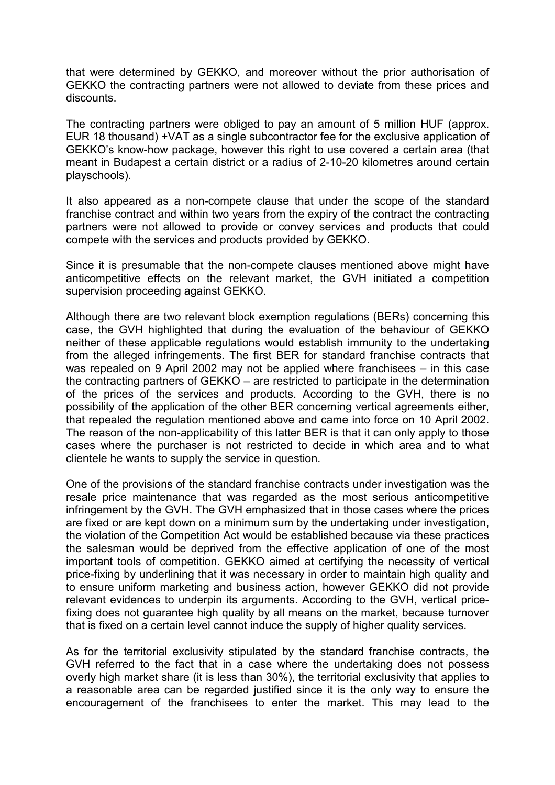that were determined by GEKKO, and moreover without the prior authorisation of GEKKO the contracting partners were not allowed to deviate from these prices and discounts.

The contracting partners were obliged to pay an amount of 5 million HUF (approx. EUR 18 thousand) +VAT as a single subcontractor fee for the exclusive application of GEKKO's know-how package, however this right to use covered a certain area (that meant in Budapest a certain district or a radius of 2-10-20 kilometres around certain playschools).

It also appeared as a non-compete clause that under the scope of the standard franchise contract and within two years from the expiry of the contract the contracting partners were not allowed to provide or convey services and products that could compete with the services and products provided by GEKKO.

Since it is presumable that the non-compete clauses mentioned above might have anticompetitive effects on the relevant market, the GVH initiated a competition supervision proceeding against GEKKO.

Although there are two relevant block exemption regulations (BERs) concerning this case, the GVH highlighted that during the evaluation of the behaviour of GEKKO neither of these applicable regulations would establish immunity to the undertaking from the alleged infringements. The first BER for standard franchise contracts that was repealed on 9 April 2002 may not be applied where franchisees – in this case the contracting partners of GEKKO – are restricted to participate in the determination of the prices of the services and products. According to the GVH, there is no possibility of the application of the other BER concerning vertical agreements either, that repealed the regulation mentioned above and came into force on 10 April 2002. The reason of the non-applicability of this latter BER is that it can only apply to those cases where the purchaser is not restricted to decide in which area and to what clientele he wants to supply the service in question.

One of the provisions of the standard franchise contracts under investigation was the resale price maintenance that was regarded as the most serious anticompetitive infringement by the GVH. The GVH emphasized that in those cases where the prices are fixed or are kept down on a minimum sum by the undertaking under investigation, the violation of the Competition Act would be established because via these practices the salesman would be deprived from the effective application of one of the most important tools of competition. GEKKO aimed at certifying the necessity of vertical price-fixing by underlining that it was necessary in order to maintain high quality and to ensure uniform marketing and business action, however GEKKO did not provide relevant evidences to underpin its arguments. According to the GVH, vertical pricefixing does not guarantee high quality by all means on the market, because turnover that is fixed on a certain level cannot induce the supply of higher quality services.

As for the territorial exclusivity stipulated by the standard franchise contracts, the GVH referred to the fact that in a case where the undertaking does not possess overly high market share (it is less than 30%), the territorial exclusivity that applies to a reasonable area can be regarded justified since it is the only way to ensure the encouragement of the franchisees to enter the market. This may lead to the